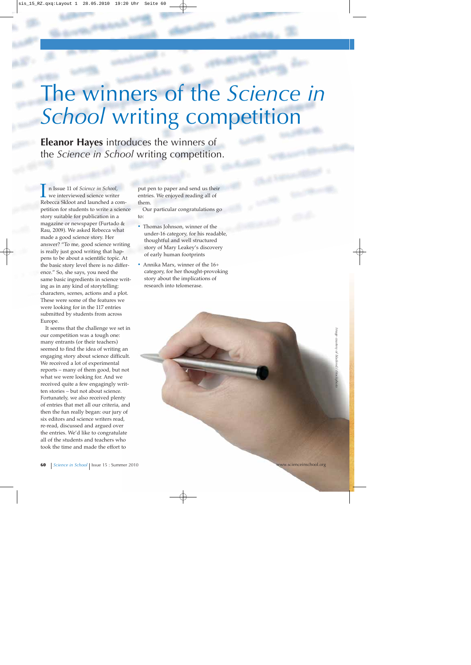# The winners of the *Science in School* writing competition

**Eleanor Hayes** introduces the winners of the *Science in School* writing competition.

I n Issue 11 of *Science in School*, we interviewed science writer Rebecca Skloot and launched a competition for students to write a science story suitable for publication in a magazine or newspaper (Furtado & Rau, 2009). We asked Rebecca what made a good science story. Her answer? "To me, good science writing is really just good writing that happens to be about a scientific topic. At the basic story level there is no difference." So, she says, you need the same basic ingredients in science writing as in any kind of storytelling: characters, scenes, actions and a plot. These were some of the features we were looking for in the 117 entries submitted by students from across Europe.

It seems that the challenge we set in our competition was a tough one: many entrants (or their teachers) seemed to find the idea of writing an engaging story about science difficult. We received a lot of experimental reports – many of them good, but not what we were looking for. And we received quite a few engagingly written stories – but not about science. Fortunately, we also received plenty of entries that met all our criteria, and then the fun really began: our jury of six editors and science writers read, re-read, discussed and argued over the entries. We'd like to congratulate all of the students and teachers who took the time and made the effort to

put pen to paper and send us their entries. We enjoyed reading all of them.

Our particular congratulations go to:

- **·** Thomas Johnson, winner of the under-16 category, for his readable, thoughtful and well structured story of Mary Leakey's discovery of early human footprints
- **·** Annika Marx, winner of the 16+ category, for her thought-provoking story about the implications of research into telomerase.

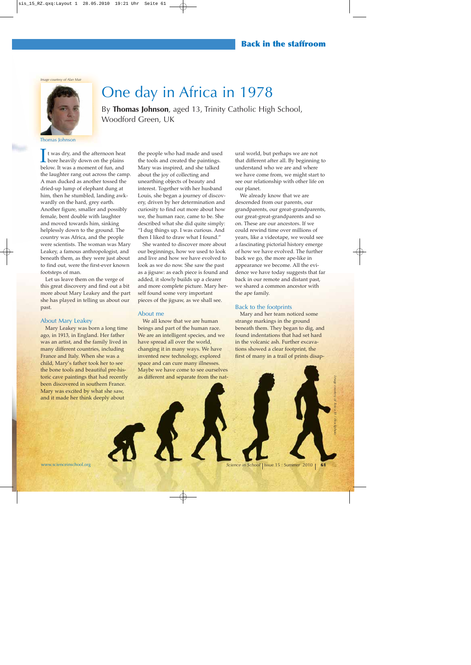*Image courtesy of Alan Mair*

## One day in Africa in 1978

By **Thomas Johnson**, aged 13, Trinity Catholic High School, Woodford Green, UK

Thomas Johnson

It was dry, and the afternoon heat bore heavily down on the plains below. It was a moment of fun, and the laughter rang out across the camp. A man ducked as another tossed the dried-up lump of elephant dung at him, then he stumbled, landing awkwardly on the hard, grey earth. Another figure, smaller and possibly female, bent double with laughter and moved towards him, sinking helplessly down to the ground. The country was Africa, and the people were scientists. The woman was Mary Leakey, a famous anthropologist, and beneath them, as they were just about to find out, were the first-ever known footsteps of man.

Let us leave them on the verge of this great discovery and find out a bit more about Mary Leakey and the part she has played in telling us about our past.

#### About Mary Leakey

Mary Leakey was born a long time ago, in 1913, in England. Her father was an artist, and the family lived in many different countries, including France and Italy. When she was a child, Mary's father took her to see the bone tools and beautiful pre-historic cave paintings that had recently been discovered in southern France. Mary was excited by what she saw, and it made her think deeply about

the people who had made and used the tools and created the paintings. Mary was inspired, and she talked about the joy of collecting and unearthing objects of beauty and interest. Together with her husband Louis, she began a journey of discovery, driven by her determination and curiosity to find out more about how we, the human race, came to be. She described what she did quite simply: "I dug things up. I was curious. And then I liked to draw what I found."

She wanted to discover more about our beginnings, how we used to look and live and how we have evolved to look as we do now. She saw the past as a jigsaw: as each piece is found and added, it slowly builds up a clearer and more complete picture. Mary herself found some very important pieces of the jigsaw, as we shall see.

#### About me

We all know that we are human beings and part of the human race. We are an intelligent species, and we have spread all over the world, changing it in many ways. We have invented new technology, explored space and can cure many illnesses. Maybe we have come to see ourselves as different and separate from the nat-

ural world, but perhaps we are not that different after all. By beginning to understand who we are and where we have come from, we might start to see our relationship with other life on our planet.

We already know that we are descended from our parents, our grandparents, our great-grandparents, our great-great-grandparents and so on. These are our ancestors. If we could rewind time over millions of years, like a videotape, we would see a fascinating pictorial history emerge of how we have evolved. The further back we go, the more ape-like in appearance we become. All the evidence we have today suggests that far back in our remote and distant past, we shared a common ancestor with the ape family.

### Back to the footprints

Mary and her team noticed some strange markings in the ground beneath them. They began to dig, and found indentations that had set hard in the volcanic ash. Further excavations showed a clear footprint, the first of many in a trail of prints disap-

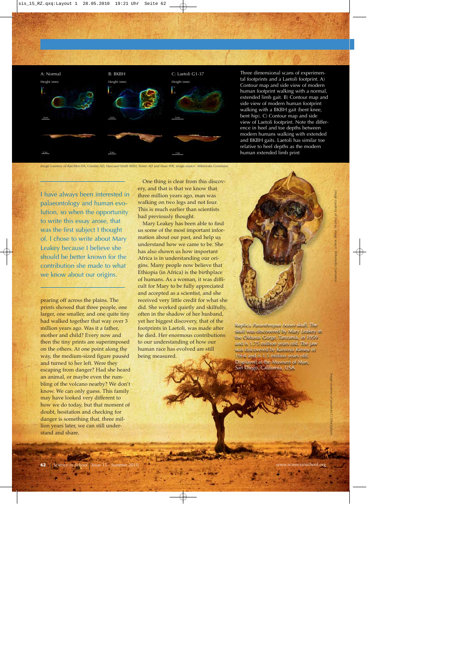

Three dimensional scans of experimental footprints and a Laetoli footprint. A) Contour map and side view of modern human footprint walking with a normal, extended limb gait. B) Contour map and side view of modern human footprint walking with a BKBH gait (bent knee, bent hip). C) Contour map and side view of Laetoli footprint. Note the difference in heel and toe depths between modern humans walking with extended and BKBH gaits. Laetoli has similar toe relative to heel depths as the modern human extended limb print

*Image courtesy of Raichlen DA, Gordon AD, Harcourt-Smith WEH, Foster AD and Haas WR; image source: Wikimedia Commons*

I have always been interested in palaeontology and human evolution, so when the opportunity to write this essay arose, that was the first subject I thought of. I chose to write about Mary Leakey because I believe she should be better known for the contribution she made to what we know about our origins.

pearing off across the plains. The prints showed that three people, one larger, one smaller, and one quite tiny had walked together that way over 3 million years ago. Was it a father, mother and child? Every now and then the tiny prints are superimposed on the others. At one point along the way, the medium-sized figure paused and turned to her left. Were they escaping from danger? Had she heard an animal, or maybe even the rumbling of the volcano nearby? We don't know. We can only guess. This family may have looked very different to how we do today, but that moment of doubt, hesitation and checking for danger is something that, three million years later, we can still understand and share.

One thing is clear from this discovery, and that is that we know that three million years ago, man was walking on two legs and not four. This is much earlier than scientists had previously thought.

Mary Leakey has been able to find us some of the most important information about our past, and help us understand how we came to be. She has also shown us how important Africa is in understanding our origins. Many people now believe that Ethiopia (in Africa) is the birthplace of humans. As a woman, it was difficult for Mary to be fully appreciated and accepted as a scientist, and she received very little credit for what she did. She worked quietly and skilfully, often in the shadow of her husband, yet her biggest discovery, that of the footprints in Laetoli, was made after he died. Her enormous contributions to our understanding of how our human race has evolved are still being measured.



Replica *Paranthropus boisei* skull. The skull was discovered by Mary Leakey in the Olduvai Gorge, Tanzania, in 1959 and is 1.75 million years old. The jaw was discovered by Kamoya Kimeu in 1964 and is 1.5 million years old. Displayed at the Museum of Man, San Diego, California, USA

**62** *Science in School* Issue 15 : Summer 2010 www.scienceinschool.org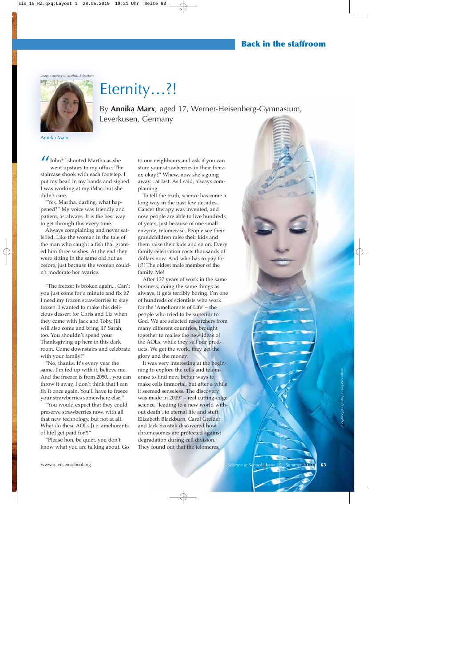*Image courtesy of Mathias Schaeben*



Eternity…?!

By **Annika Marx**, aged 17, Werner-Heisenberg-Gymnasium, Leverkusen, Germany

Annika Marx

I John?" shouted Martha as she went upstairs to my office. The staircase shook with each footstep. I put my head in my hands and sighed. I was working at my iMac, but she didn't care.

"Yes, Martha, darling, what happened?" My voice was friendly and patient, as always. It is the best way to get through this every time.

Always complaining and never satisfied. Like the woman in the tale of the man who caught a fish that granted him three wishes. At the end they were sitting in the same old hut as before, just because the woman couldn't moderate her avarice.

"The freezer is broken again... Can't you just come for a minute and fix it? I need my frozen strawberries to stay frozen. I wanted to make this delicious dessert for Chris and Liz when they come with Jack and Toby. Jill will also come and bring lil' Sarah, too. You shouldn't spend your Thanksgiving up here in this dark room. Come downstairs and celebrate with your family!"

"No, thanks. It's every year the same. I'm fed up with it, believe me. And the freezer is from 2050... you can throw it away, I don't think that I can fix it once again. You'll have to freeze your strawberries somewhere else."

"You would expect that they could preserve strawberries now, with all that new technology, but not at all. What do these AOLs [i.e. ameliorants of life] get paid for?!"

"Please hon, be quiet, you don't know what you are talking about. Go to our neighbours and ask if you can store your strawberries in their freezer, okay?" Whew, now she's going away... at last. As I said, always complaining.

To tell the truth, science has come a long way in the past few decades. Cancer therapy was invented, and now people are able to live hundreds of years, just because of one small enzyme, telomerase. People see their grandchildren raise their kids and them raise their kids and so on. Every family celebration costs thousands of dollars now. And who has to pay for it?! The oldest male member of the family. Me!

After 137 years of work in the same business, doing the same things as always, it gets terribly boring. I'm one of hundreds of scientists who work for the 'Ameliorants of Life' – the people who tried to be superior to God. We are selected researchers from many different countries, brought together to realise the new ideas of the AOLs, while they sell our products. We get the work, they get the glory and the money.

It was very interesting at the beginning to explore the cells and telomerase to find new, better ways to make cells immortal, but after a while it seemed senseless. The discovery was made in 2009\* – real cutting-edge science, 'leading to a new world without death', to eternal life and stuff. Elizabeth Blackburn, Carol Greider and Jack Szostak discovered how chromosomes are protected against degradation during cell division. They found out that the telomeres,